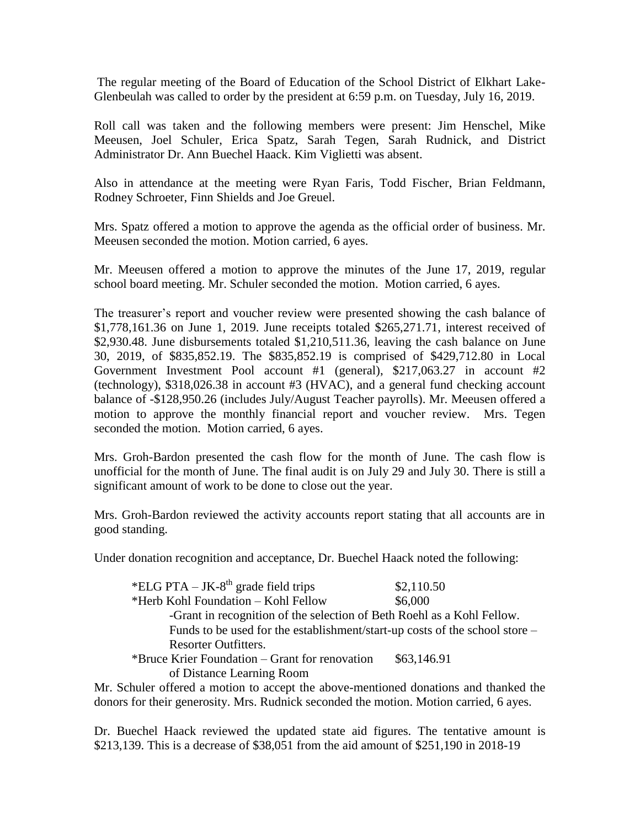The regular meeting of the Board of Education of the School District of Elkhart Lake-Glenbeulah was called to order by the president at 6:59 p.m. on Tuesday, July 16, 2019.

Roll call was taken and the following members were present: Jim Henschel, Mike Meeusen, Joel Schuler, Erica Spatz, Sarah Tegen, Sarah Rudnick, and District Administrator Dr. Ann Buechel Haack. Kim Viglietti was absent.

Also in attendance at the meeting were Ryan Faris, Todd Fischer, Brian Feldmann, Rodney Schroeter, Finn Shields and Joe Greuel.

Mrs. Spatz offered a motion to approve the agenda as the official order of business. Mr. Meeusen seconded the motion. Motion carried, 6 ayes.

Mr. Meeusen offered a motion to approve the minutes of the June 17, 2019, regular school board meeting. Mr. Schuler seconded the motion. Motion carried, 6 ayes.

The treasurer's report and voucher review were presented showing the cash balance of \$1,778,161.36 on June 1, 2019. June receipts totaled \$265,271.71, interest received of \$2,930.48. June disbursements totaled \$1,210,511.36, leaving the cash balance on June 30, 2019, of \$835,852.19. The \$835,852.19 is comprised of \$429,712.80 in Local Government Investment Pool account #1 (general), \$217,063.27 in account #2 (technology), \$318,026.38 in account #3 (HVAC), and a general fund checking account balance of -\$128,950.26 (includes July/August Teacher payrolls). Mr. Meeusen offered a motion to approve the monthly financial report and voucher review. Mrs. Tegen seconded the motion. Motion carried, 6 ayes.

Mrs. Groh-Bardon presented the cash flow for the month of June. The cash flow is unofficial for the month of June. The final audit is on July 29 and July 30. There is still a significant amount of work to be done to close out the year.

Mrs. Groh-Bardon reviewed the activity accounts report stating that all accounts are in good standing.

Under donation recognition and acceptance, Dr. Buechel Haack noted the following:

| *ELG PTA – JK-8 <sup>th</sup> grade field trips                                      | \$2,110.50  |
|--------------------------------------------------------------------------------------|-------------|
| *Herb Kohl Foundation – Kohl Fellow                                                  | \$6,000     |
| -Grant in recognition of the selection of Beth Roehl as a Kohl Fellow.               |             |
| Funds to be used for the establishment/start-up costs of the school store –          |             |
| <b>Resorter Outfitters.</b>                                                          |             |
| *Bruce Krier Foundation – Grant for renovation                                       | \$63,146.91 |
| of Distance Learning Room                                                            |             |
| chile affected a mation to concept the charge montional department and theories that |             |

Mr. Schuler offered a motion to accept the above-mentioned donations and thanked the donors for their generosity. Mrs. Rudnick seconded the motion. Motion carried, 6 ayes.

Dr. Buechel Haack reviewed the updated state aid figures. The tentative amount is \$213,139. This is a decrease of \$38,051 from the aid amount of \$251,190 in 2018-19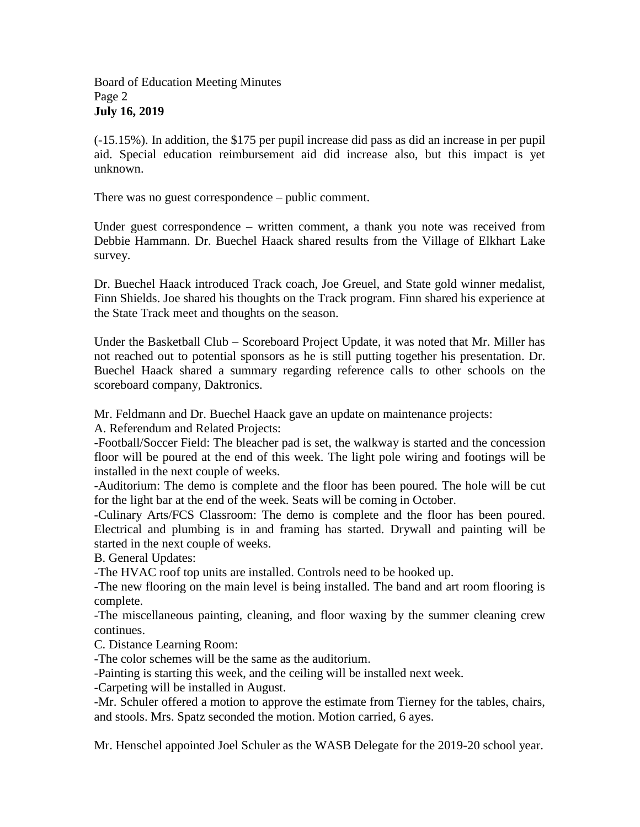(-15.15%). In addition, the \$175 per pupil increase did pass as did an increase in per pupil aid. Special education reimbursement aid did increase also, but this impact is yet unknown.

There was no guest correspondence – public comment.

Under guest correspondence – written comment, a thank you note was received from Debbie Hammann. Dr. Buechel Haack shared results from the Village of Elkhart Lake survey.

Dr. Buechel Haack introduced Track coach, Joe Greuel, and State gold winner medalist, Finn Shields. Joe shared his thoughts on the Track program. Finn shared his experience at the State Track meet and thoughts on the season.

Under the Basketball Club – Scoreboard Project Update, it was noted that Mr. Miller has not reached out to potential sponsors as he is still putting together his presentation. Dr. Buechel Haack shared a summary regarding reference calls to other schools on the scoreboard company, Daktronics.

Mr. Feldmann and Dr. Buechel Haack gave an update on maintenance projects:

A. Referendum and Related Projects:

-Football/Soccer Field: The bleacher pad is set, the walkway is started and the concession floor will be poured at the end of this week. The light pole wiring and footings will be installed in the next couple of weeks.

-Auditorium: The demo is complete and the floor has been poured. The hole will be cut for the light bar at the end of the week. Seats will be coming in October.

-Culinary Arts/FCS Classroom: The demo is complete and the floor has been poured. Electrical and plumbing is in and framing has started. Drywall and painting will be started in the next couple of weeks.

B. General Updates:

-The HVAC roof top units are installed. Controls need to be hooked up.

-The new flooring on the main level is being installed. The band and art room flooring is complete.

-The miscellaneous painting, cleaning, and floor waxing by the summer cleaning crew continues.

C. Distance Learning Room:

-The color schemes will be the same as the auditorium.

-Painting is starting this week, and the ceiling will be installed next week.

-Carpeting will be installed in August.

-Mr. Schuler offered a motion to approve the estimate from Tierney for the tables, chairs, and stools. Mrs. Spatz seconded the motion. Motion carried, 6 ayes.

Mr. Henschel appointed Joel Schuler as the WASB Delegate for the 2019-20 school year.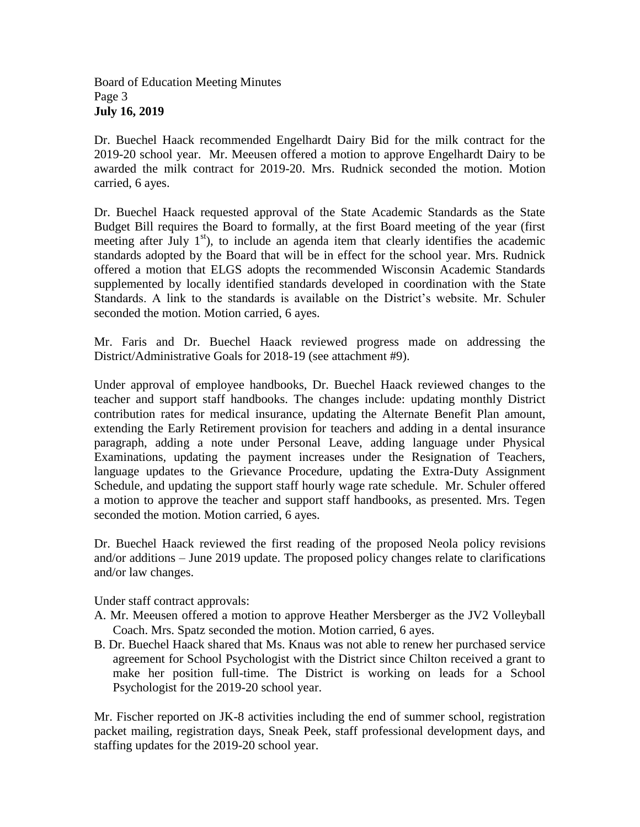Board of Education Meeting Minutes Page 3 **July 16, 2019**

Dr. Buechel Haack recommended Engelhardt Dairy Bid for the milk contract for the 2019-20 school year. Mr. Meeusen offered a motion to approve Engelhardt Dairy to be awarded the milk contract for 2019-20. Mrs. Rudnick seconded the motion. Motion carried, 6 ayes.

Dr. Buechel Haack requested approval of the State Academic Standards as the State Budget Bill requires the Board to formally, at the first Board meeting of the year (first meeting after July  $1<sup>st</sup>$ ), to include an agenda item that clearly identifies the academic standards adopted by the Board that will be in effect for the school year. Mrs. Rudnick offered a motion that ELGS adopts the recommended Wisconsin Academic Standards supplemented by locally identified standards developed in coordination with the State Standards. A link to the standards is available on the District's website. Mr. Schuler seconded the motion. Motion carried, 6 ayes.

Mr. Faris and Dr. Buechel Haack reviewed progress made on addressing the District/Administrative Goals for 2018-19 (see attachment #9).

Under approval of employee handbooks, Dr. Buechel Haack reviewed changes to the teacher and support staff handbooks. The changes include: updating monthly District contribution rates for medical insurance, updating the Alternate Benefit Plan amount, extending the Early Retirement provision for teachers and adding in a dental insurance paragraph, adding a note under Personal Leave, adding language under Physical Examinations, updating the payment increases under the Resignation of Teachers, language updates to the Grievance Procedure, updating the Extra-Duty Assignment Schedule, and updating the support staff hourly wage rate schedule. Mr. Schuler offered a motion to approve the teacher and support staff handbooks, as presented. Mrs. Tegen seconded the motion. Motion carried, 6 ayes.

Dr. Buechel Haack reviewed the first reading of the proposed Neola policy revisions and/or additions – June 2019 update. The proposed policy changes relate to clarifications and/or law changes.

Under staff contract approvals:

- A. Mr. Meeusen offered a motion to approve Heather Mersberger as the JV2 Volleyball Coach. Mrs. Spatz seconded the motion. Motion carried, 6 ayes.
- B. Dr. Buechel Haack shared that Ms. Knaus was not able to renew her purchased service agreement for School Psychologist with the District since Chilton received a grant to make her position full-time. The District is working on leads for a School Psychologist for the 2019-20 school year.

Mr. Fischer reported on JK-8 activities including the end of summer school, registration packet mailing, registration days, Sneak Peek, staff professional development days, and staffing updates for the 2019-20 school year.